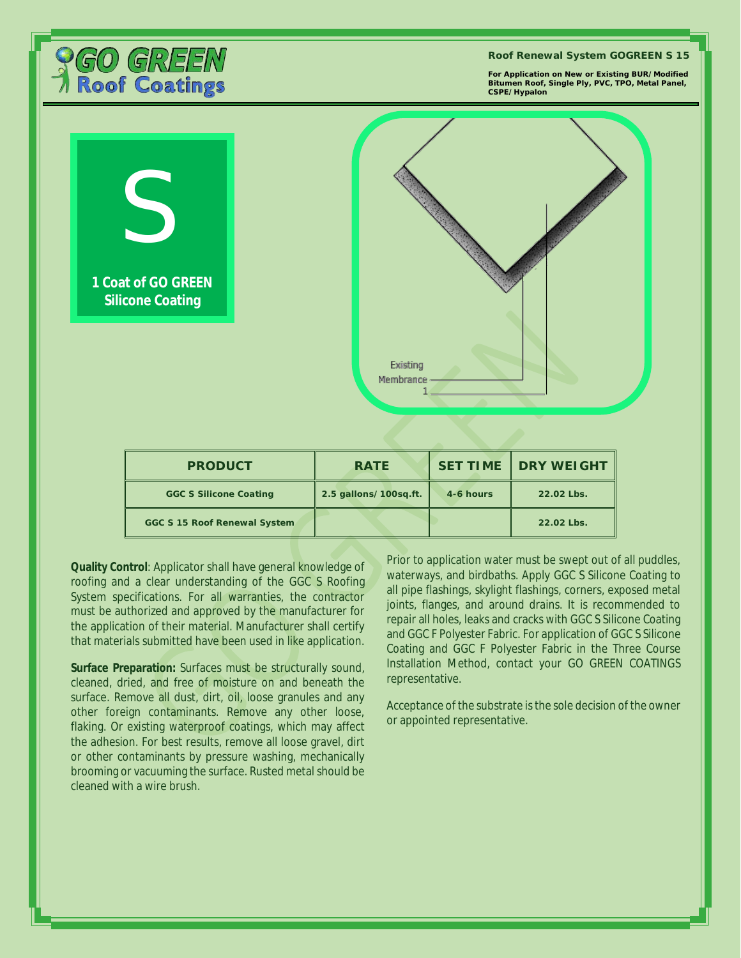

**For Application on New or Existing BUR/Modified Bitumen Roof, Single Ply, PVC, TPO, Metal Panel,** 



**Quality Control**: Applicator shall have general knowledge of roofing and a clear understanding of the GGC S Roofing System specifications. For all warranties, the contractor must be authorized and approved by the manufacturer for the application of their material. Manufacturer shall certify that materials submitted have been used in like application.

**Surface Preparation:** Surfaces must be structurally sound, cleaned, dried, and free of moisture on and beneath the surface. Remove all dust, dirt, oil, loose granules and any other foreign contaminants. Remove any other loose, flaking. Or existing waterproof coatings, which may affect the adhesion. For best results, remove all loose gravel, dirt or other contaminants by pressure washing, mechanically brooming or vacuuming the surface. Rusted metal should be cleaned with a wire brush.

Prior to application water must be swept out of all puddles, waterways, and birdbaths. Apply GGC S Silicone Coating to all pipe flashings, skylight flashings, corners, exposed metal joints, flanges, and around drains. It is recommended to repair all holes, leaks and cracks with GGC S Silicone Coating and GGC F Polyester Fabric. For application of GGC S Silicone Coating and GGC F Polyester Fabric in the Three Course Installation Method, contact your GO GREEN COATINGS representative.

Acceptance of the substrate is the sole decision of the owner or appointed representative.